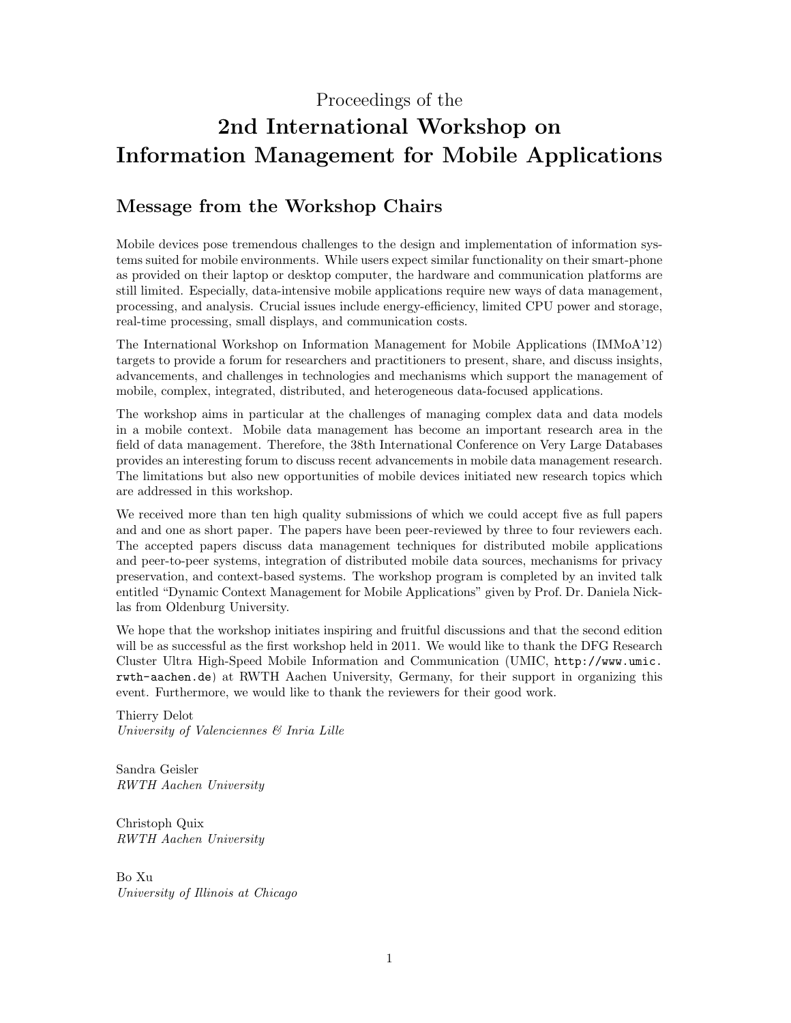### Proceedings of the

# 2nd International Workshop on Information Management for Mobile Applications

# Message from the Workshop Chairs

Mobile devices pose tremendous challenges to the design and implementation of information systems suited for mobile environments. While users expect similar functionality on their smart-phone as provided on their laptop or desktop computer, the hardware and communication platforms are still limited. Especially, data-intensive mobile applications require new ways of data management, processing, and analysis. Crucial issues include energy-efficiency, limited CPU power and storage, real-time processing, small displays, and communication costs.

The International Workshop on Information Management for Mobile Applications (IMMoA'12) targets to provide a forum for researchers and practitioners to present, share, and discuss insights, advancements, and challenges in technologies and mechanisms which support the management of mobile, complex, integrated, distributed, and heterogeneous data-focused applications.

The workshop aims in particular at the challenges of managing complex data and data models in a mobile context. Mobile data management has become an important research area in the field of data management. Therefore, the 38th International Conference on Very Large Databases provides an interesting forum to discuss recent advancements in mobile data management research. The limitations but also new opportunities of mobile devices initiated new research topics which are addressed in this workshop.

We received more than ten high quality submissions of which we could accept five as full papers and and one as short paper. The papers have been peer-reviewed by three to four reviewers each. The accepted papers discuss data management techniques for distributed mobile applications and peer-to-peer systems, integration of distributed mobile data sources, mechanisms for privacy preservation, and context-based systems. The workshop program is completed by an invited talk entitled "Dynamic Context Management for Mobile Applications" given by Prof. Dr. Daniela Nicklas from Oldenburg University.

We hope that the workshop initiates inspiring and fruitful discussions and that the second edition will be as successful as the first workshop held in 2011. We would like to thank the DFG Research Cluster Ultra High-Speed Mobile Information and Communication (UMIC, [http://www.umic.](http://www.umic.rwth-aachen.de) [rwth-aachen.de](http://www.umic.rwth-aachen.de)) at RWTH Aachen University, Germany, for their support in organizing this event. Furthermore, we would like to thank the reviewers for their good work.

Thierry Delot University of Valenciennes & Inria Lille

Sandra Geisler RWTH Aachen University

Christoph Quix RWTH Aachen University

Bo Xu University of Illinois at Chicago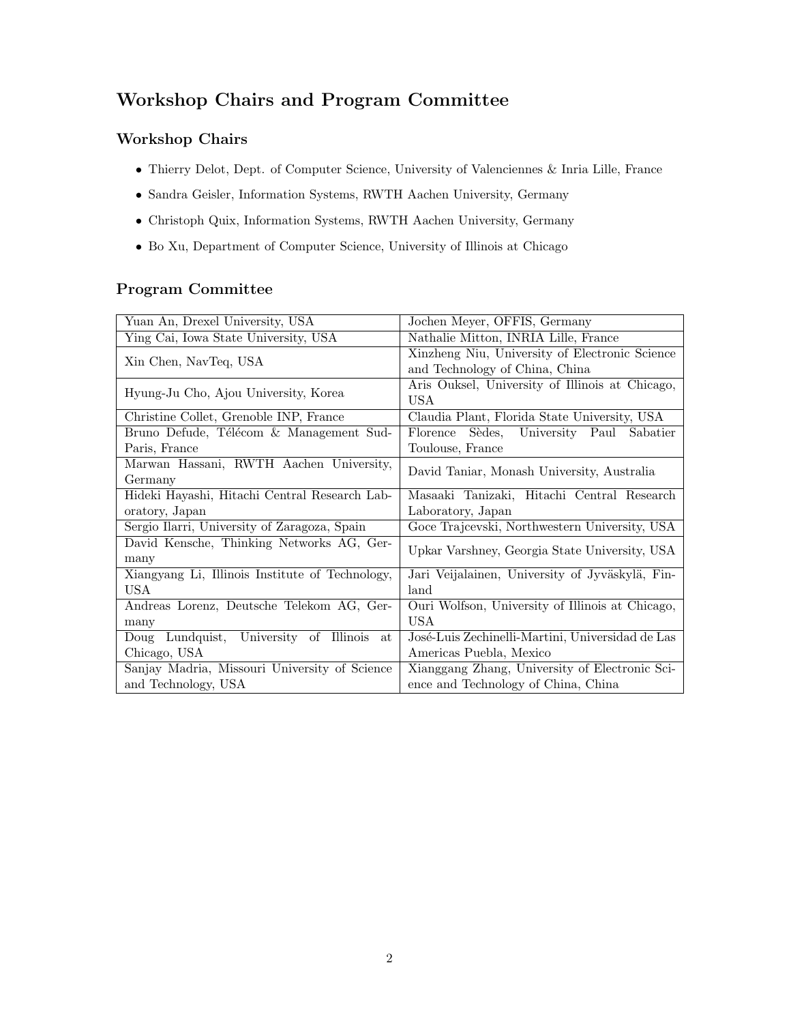# Workshop Chairs and Program Committee

# Workshop Chairs

- Thierry Delot, Dept. of Computer Science, University of Valenciennes & Inria Lille, France
- Sandra Geisler, Information Systems, RWTH Aachen University, Germany
- Christoph Quix, Information Systems, RWTH Aachen University, Germany
- Bo Xu, Department of Computer Science, University of Illinois at Chicago

### Program Committee

| Yuan An, Drexel University, USA                 |                                                   |
|-------------------------------------------------|---------------------------------------------------|
|                                                 | Jochen Meyer, OFFIS, Germany                      |
| Ying Cai, Iowa State University, USA            | Nathalie Mitton, INRIA Lille, France              |
| Xin Chen, NavTeq, USA                           | Xinzheng Niu, University of Electronic Science    |
|                                                 | and Technology of China, China                    |
| Hyung-Ju Cho, Ajou University, Korea            | Aris Ouksel, University of Illinois at Chicago,   |
|                                                 | USA                                               |
| Christine Collet, Grenoble INP, France          | Claudia Plant, Florida State University, USA      |
| Bruno Defude, Télécom & Management Sud-         | Sèdes,<br>University Paul<br>Florence<br>Sabatier |
| Paris, France                                   | Toulouse, France                                  |
| Marwan Hassani, RWTH Aachen University,         |                                                   |
| Germany                                         | David Taniar, Monash University, Australia        |
| Hideki Hayashi, Hitachi Central Research Lab-   | Masaaki Tanizaki, Hitachi Central Research        |
| oratory, Japan                                  | Laboratory, Japan                                 |
| Sergio Ilarri, University of Zaragoza, Spain    | Goce Trajcevski, Northwestern University, USA     |
| David Kensche, Thinking Networks AG, Ger-       | Upkar Varshney, Georgia State University, USA     |
|                                                 |                                                   |
| many                                            |                                                   |
| Xiangyang Li, Illinois Institute of Technology, | Jari Veijalainen, University of Jyväskylä, Fin-   |
| <b>USA</b>                                      | land                                              |
| Andreas Lorenz, Deutsche Telekom AG, Ger-       | Ouri Wolfson, University of Illinois at Chicago,  |
| many                                            | <b>USA</b>                                        |
| University of Illinois at<br>Lundquist,<br>Doug | José-Luis Zechinelli-Martini, Universidad de Las  |
| Chicago, USA                                    | Americas Puebla, Mexico                           |
| Sanjay Madria, Missouri University of Science   | Xianggang Zhang, University of Electronic Sci-    |